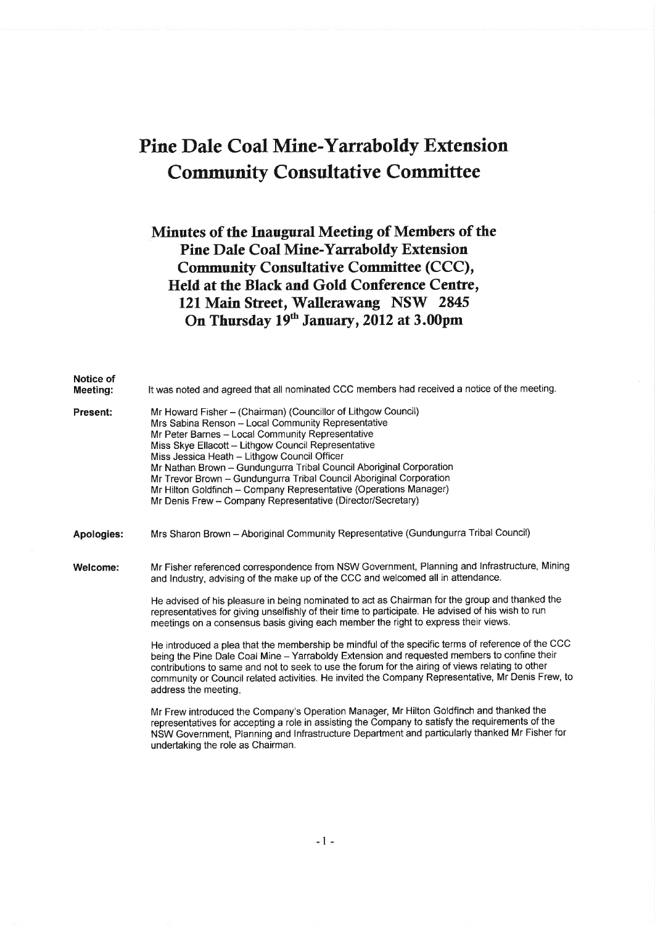# Pine Dale Coal Mine-Yarraboldy Extension Community Consultative Commiffee

### Minutes of the Inaugural Meeting of Members of the Pine DaIe Coal Mine-Yarraboldy Extension Community Consultative Committee (CCC), Held at the Black and Gold Conference Centre, 121 Main Street, Wallerawang NSW 2845 On Thursday 19<sup>th</sup> January, 2012 at 3.00pm

| Notice of<br>Meeting: | It was noted and agreed that all nominated CCC members had received a notice of the meeting.                                                                                                                                                                                                                                                                                                                                                                                                                                                                     |
|-----------------------|------------------------------------------------------------------------------------------------------------------------------------------------------------------------------------------------------------------------------------------------------------------------------------------------------------------------------------------------------------------------------------------------------------------------------------------------------------------------------------------------------------------------------------------------------------------|
| <b>Present:</b>       | Mr Howard Fisher - (Chairman) (Councillor of Lithgow Council)<br>Mrs Sabina Renson - Local Community Representative<br>Mr Peter Barnes - Local Community Representative<br>Miss Skye Ellacott - Lithgow Council Representative<br>Miss Jessica Heath - Lithgow Council Officer<br>Mr Nathan Brown - Gundungurra Tribal Council Aboriginal Corporation<br>Mr Trevor Brown - Gundungurra Tribal Council Aboriginal Corporation<br>Mr Hilton Goldfinch - Company Representative (Operations Manager)<br>Mr Denis Frew - Company Representative (Director/Secretary) |
| <b>Apologies:</b>     | Mrs Sharon Brown - Aboriginal Community Representative (Gundungurra Tribal Council)                                                                                                                                                                                                                                                                                                                                                                                                                                                                              |
| Welcome:              | Mr Fisher referenced correspondence from NSW Government, Planning and Infrastructure, Mining<br>and Industry, advising of the make up of the CCC and welcomed all in attendance.<br>He advised of his pleasure in being nominated to act as Chairman for the group and thanked the                                                                                                                                                                                                                                                                               |
|                       | representatives for giving unselfishly of their time to participate. He advised of his wish to run<br>meetings on a consensus basis giving each member the right to express their views.                                                                                                                                                                                                                                                                                                                                                                         |
|                       | He introduced a plea that the membership be mindful of the specific terms of reference of the CCC<br>being the Pine Dale Coal Mine - Yarraboldy Extension and requested members to confine their<br>contributions to same and not to seek to use the forum for the airing of views relating to other<br>community or Council related activities. He invited the Company Representative, Mr Denis Frew, to<br>address the meeting.                                                                                                                                |
|                       | Mr Frew introduced the Company's Operation Manager, Mr Hilton Goldfinch and thanked the<br>representatives for accepting a role in assisting the Company to satisfy the requirements of the<br>NSW Government, Planning and Infrastructure Department and particularly thanked Mr Fisher for                                                                                                                                                                                                                                                                     |

 $\approx$  1  $\pi$ 

undertaking the role as Chairman.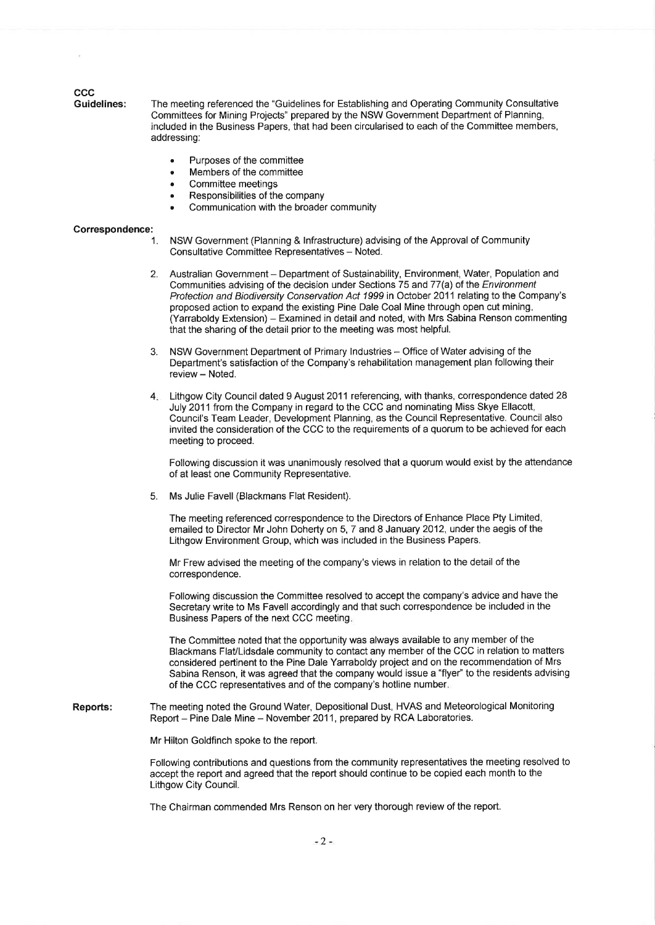## CCC<br>Guidelines:

The meeting referenced the "Guidelines for Establishing and Operating Community Consultative Committees for Mining Projects" prepared by the NSW Government Department of Planning, included in the Business Papers, that had been circularised to each of the Committee members, addressing:

- . Purposes of the committee
- Members of the committee<br>Committee meetings
- 
- 
- Responsibilities of the company<br>Communication with the broader community

#### Gorrespondence:

- 1. NSW Government (Planning & lnfrastructure) advising of the Approval of Community Consultative Committee Representatives - Noted.
- 2. Australian Government Department of Sustainability, Environment, Water, Population and Communities advising of the decision under Sections 75 and 77(a) of the Environment Protection and Biodiversity Conservation Act 1999 in October 2011 relating to the Company's proposed action to expand the existing Pine Dale Coal Mine through open cut mining (Yarraboldy Extension) - Examined in detail and noted, with Mrs Sabina Renson commenting that the sharing of the detail prior to the meeting was most helpful.
- 3. NSW Government Department of Primary Industries Office of Water advising of the Department's satisfaction of the Company's rehabilitation management plan following their review - Noted.
- 4. Lithgow City Council dated 9 August 2011 referencing, with thanks, correspondence dated 28 July 2011 from the Company in regard to the CCC and nominating Miss Skye Ellacott, Council's Team Leader, Development Planning, as the Council Representative. Council also invited the consideration of the CCC to the requirements of a quorum to be achieved for each meeting to proceed.

Followlng discussion it was unanimously resolved that a quorum would exist by the attendance of at least one Community Representative.

5. Ms Julie Favell (Blackmans Flat Resident).

The meeting referenced correspondence to the Directors of Enhance Place Pty Limited, emailed to Director Mr John Doherty on 5, 7 and 8 January 2012, under the aegis of the Lithgow Environment Group, which was included in the Business Papers.

Mr Frew advised the meeting of the company's views in relation to the detail of the correspondence.

Following discussion the Committee resolved to accept the company's advice and have the Secretary write to Ms Favell accordingly and that such correspondence be included in the Business Papers of the next CCC meeting

The Committee noted that the opportunity was always available to any member of the Blackmans FlaVlidsdale community to contact any member of the CCC in relation to matters considered pertinent to the Pine Dale Yarraboldy project and on the recommendation of Mrs Sabina Renson, it was agreed that the company would issue a "flyer" to the residents advising of the CCC representatives and of the company's hotline number

Reports: The meeting noted the Ground Water, Depositional Dust, HVAS and Meteorological Monitoring Report - Pine Dale Mine - November 2011, prepared by RCA Laboratories.

Mr Hilton Goldfinch spoke to the report.

Following contributions and questions from the community representatives the meeting resolved to accept the report and agreed that the report should continue to be copied each month to the Lithgow City Council.

The Chairman commended Mrs Renson on her very thorough review of the report.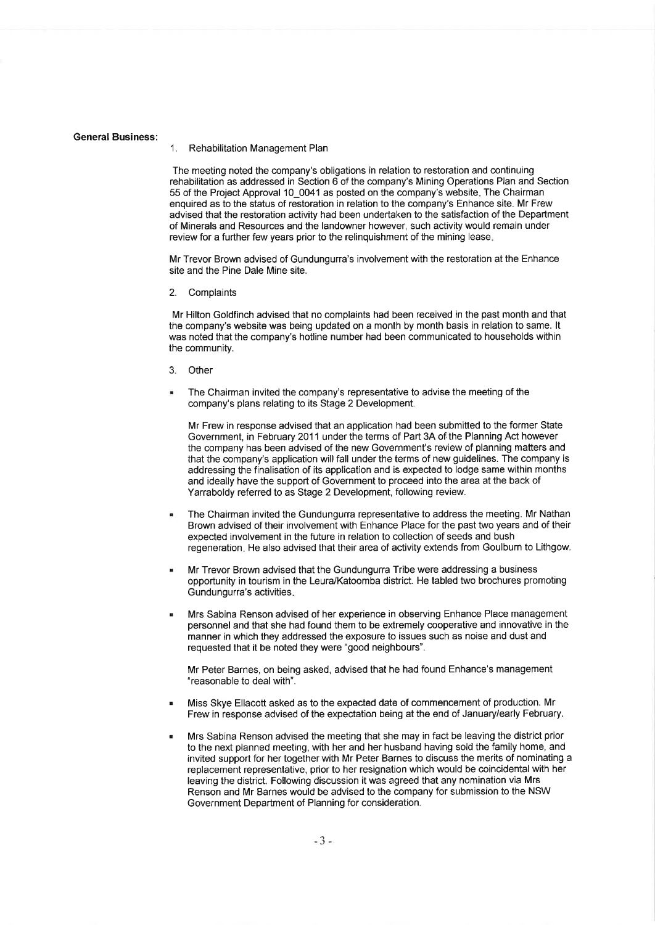#### General Business:

#### 1. Rehabilitation Management Plan

The meeting noted the company's obligations in relation to restoration and continuing rehabilitation as addressed in Section 6 of the company's Mining Operations Plan and Section 55 of the Project Approval '10\_0041 as posted on the company's website The Chairman enquired as to the status of restoration in relation to the company's Enhance site. Mr Frew advised that the restoration activity had been undertaken to the satisfaction of the Department of Minerals and Resources and the landowner however, such activity would remain under review for a further few years prior to the relinquishment of the mining lease

Mr Trevor Brown advised of Gundungurra's involvement with the restoration at the Enhance site and the Pine Dale Mine site.

2. Complaints

Mr Hilton Goldfinch advised that no complaints had been received in the past month and that the company's website was being updated on a month by month basis in relation to same. lt was noted that the company's hotline number had been communicated to households within the community.

- 3. Other
- The Chairman invited the company's representative to advise the meeting of the company's plans relating to its Stage 2 Development.

Mr Frew in response advised that an application had been submitted to the former State Government, in February 2011 under the terms of Part 3A of the Planning Act however the company has been advised of the new Government's review of planning matters and that the company's application will fall under the terms of new guidelines. The company is addressing the finalisation of its application and is expected to lodge same within months and ideally have the support of Government to proceed into the area at the back of Yarraboldy referred to as Stage 2 Development, following review.

- The Chairman invited the Gundungurra representative to address the meeting. Mr Nathan Brown advised of their involvement with Enhance Place for the past two years and of their expected involvement in the future in relation to collection of seeds and bush regeneration He also advised that their area of activity extends from Goulburn to Lithgow.
- Mr Trevor Brown advised that the Gundungurra Tribe were addressing a business opportunity in tourism in the Leura/Katoomba district. He tabled two brochures promoting Gundungurra's activities
- Mrs Sabina Renson advised of her experience in observing Enhance Place management personnel and that she had found them to be extremely cooperative and innovative in the manner in which they addressed the exposure to issues such as noise and dust and requested that it be noted they were "good neighbours".

Mr Peter Barnes, on being asked, advised that he had found Enhance's management "reasonable to deal with".

- Miss Skye Ellacott asked as to the expected date of commencement of production. Mr Frew in response advised of the expectation being at the end of January/early February.
- Mrs Sabina Renson advised the meeting that she may in fact be leaving the district prior to the next planned meeting, with her and her husband having sold the family home, and invited support for her together with Mr Peter Barnes to discuss the merits of nominating a replacement representative, prior to her resignation which would be coincidental with her leaving the district. Following discussion it was agreed that any nomination via Mrs Renson and Mr Barnes would be advised to the company for submission to the NSW Government Department of Planning for consideration.